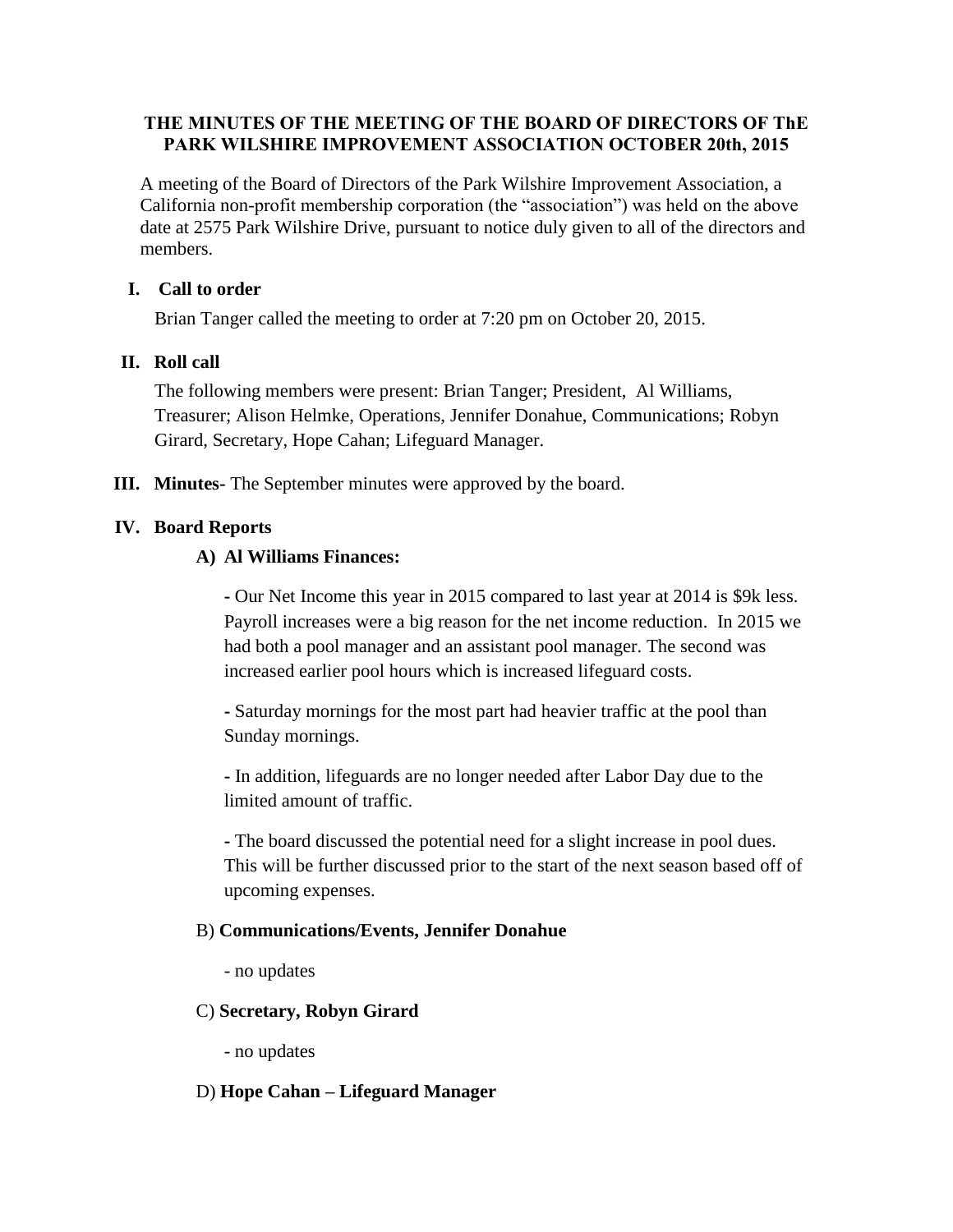## **THE MINUTES OF THE MEETING OF THE BOARD OF DIRECTORS OF ThE PARK WILSHIRE IMPROVEMENT ASSOCIATION OCTOBER 20th, 2015**

A meeting of the Board of Directors of the Park Wilshire Improvement Association, a California non-profit membership corporation (the "association") was held on the above date at 2575 Park Wilshire Drive, pursuant to notice duly given to all of the directors and members.

## **I. Call to order**

Brian Tanger called the meeting to order at 7:20 pm on October 20, 2015.

## **II. Roll call**

The following members were present: Brian Tanger; President, Al Williams, Treasurer; Alison Helmke, Operations, Jennifer Donahue, Communications; Robyn Girard, Secretary, Hope Cahan; Lifeguard Manager.

**III. Minutes-** The September minutes were approved by the board.

#### **IV. Board Reports**

#### **A) Al Williams Finances:**

**-** Our Net Income this year in 2015 compared to last year at 2014 is \$9k less. Payroll increases were a big reason for the net income reduction. In 2015 we had both a pool manager and an assistant pool manager. The second was increased earlier pool hours which is increased lifeguard costs.

**-** Saturday mornings for the most part had heavier traffic at the pool than Sunday mornings.

**-** In addition, lifeguards are no longer needed after Labor Day due to the limited amount of traffic.

**-** The board discussed the potential need for a slight increase in pool dues. This will be further discussed prior to the start of the next season based off of upcoming expenses.

#### B) **Communications/Events, Jennifer Donahue**

- no updates

## C) **Secretary, Robyn Girard**

- no updates

#### D) **Hope Cahan – Lifeguard Manager**